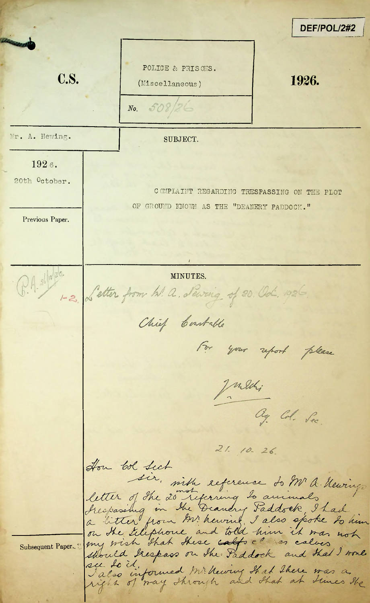DEF/POL/2#2 POLICE & PRISONS.  $C.S.$ 1926. (Miscellaneous)  $508$  $N_o$ Mr. A. Hewing. SUBJECT. 1926. 20th October. COMPLAINT REGARDING TRESPASSING ON THE PLOT OF GROUND KNOWN AS THE "DEANERY PADDOCK." Previous Paper. B.A. slives.<br>C.A. slives detter from hl. a. dewring of 20. Od. 1926 Chief Contable For your report please Juliki ag Col. Sec.  $21.10.26$ How bol Sech sir, siste reference do Mr A. Meurings letter of the 20 referring to animals Steepassing in the Deandry Faddock I had<br>a litter from M. hewing I also spoke to him<br>on the Lilephone and told him it was not should kespass on the Faddock and that I wonly see to it, formed Mr. Newing that there was a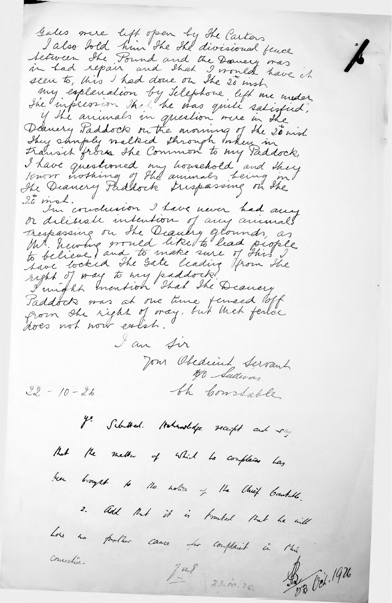Gales mere left open by the Carters I also hold him the the divisional fence tetween the Pound and the Danvery was seen to, this I had done on the 20 inst. my explanation by telephone left me under She inpersion that he was quite satisfied, if the animals in question were in the Deanery Paddock on the morning of the 20 mind They stuply walked through Inten in I have questioned my howehold and they 20 mol. I'm conclusion I have never had any or deliberate intention of any animals Trespassing on the Deaulry glounds, as Mt. hurting would like to had people right of way to my paddock!<br>I might mention that the Deanery Saddock was at one time temeed loff from the right of may, but that ferice does not now eatst. I am Sir Jour Obedició Servant the Constable.  $22 - 10 - 26$ y: Schützel. Hohnslage receipt and ray But the methor of which he completes has been brought to the notice of the Chief Counters. 2. Add that it is fromted that he will Lore no problem cause les complaint in this consection. Jul. 23.10.26. 03 Oct. 1926

Á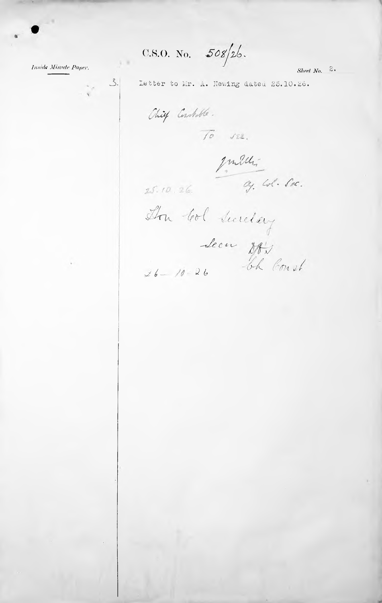C.S.O. No.  $508/26$ .

Inside Minute Paper,

 $3.$ 

 $\label{eq:2.1} \frac{1}{2} \sum_{i=1}^N \frac{1}{2} \sum_{i=1}^N \frac{1}{2} \sum_{i=1}^N \frac{1}{2} \sum_{i=1}^N \frac{1}{2} \sum_{i=1}^N \frac{1}{2} \sum_{i=1}^N \frac{1}{2} \sum_{i=1}^N \frac{1}{2} \sum_{i=1}^N \frac{1}{2} \sum_{i=1}^N \frac{1}{2} \sum_{i=1}^N \frac{1}{2} \sum_{i=1}^N \frac{1}{2} \sum_{i=1}^N \frac{1}{2} \sum_{i=1}^N \frac{$ 

Sheet  $No.$  2.

Chief Constable.

 $\overline{10}$   $\sqrt{22}$ .

Letter to Mr. A. Newing dated 25.10.26.

Julien 200.  $25.10.26$ 

Don Col Sucretary Secu Des Court  $26 - 10 - 26$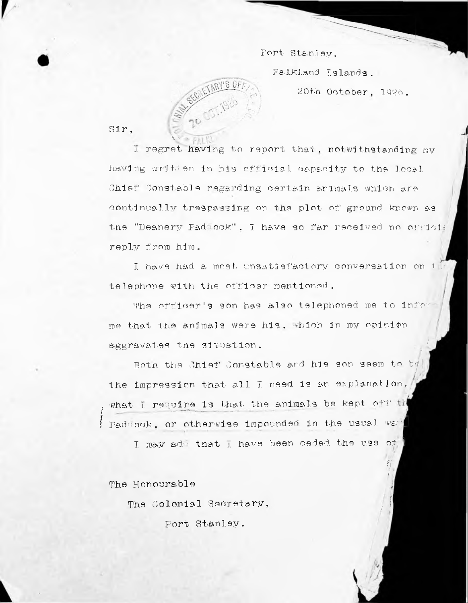## Port- Stanley.

Falkland Islands .

20th October , 1Q26 .

f/ /.

/1



Sir.

having written in his official capacity to the local Shier' Constable regarding certain animals which are continually trespassing on the plot of ground known as reply from him. j. regret having to report that, notwithstanding my the "Deanery Fad ock" . 7. have so far received no officii

telephone with the officer mentioned. I have had a most unsatisfactory conversation on  $\mathbb H$ 

me that the animals were his . which In my opinion aggravates the situation. The officer's son has also telephoned me to infor

the impression that all I need is an explanation. Both the Chief Constable and his son seem to by( *I* Paddock. or otherwise impounded in the usual way require is that the animals be kept off esion that all I need is an explanation.<br>Quire is that the animals be kept off the<br>or otherwise impounded in the usual wa<sup>re</sup> •khat 7

I may add that I have been ceded the use of

The Honourable

The Colonial Secretary.

Fort Stanley.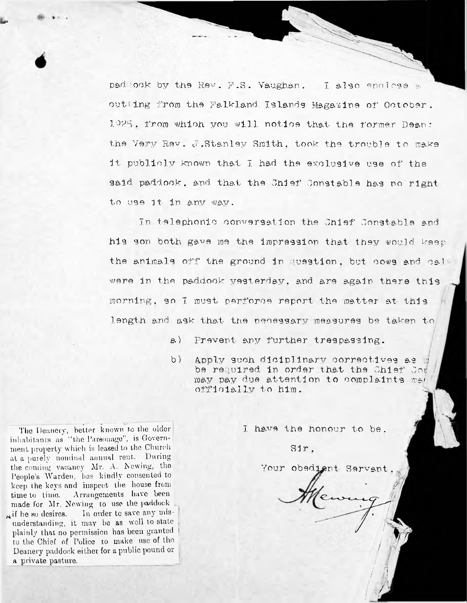pad ook by the Rev. F.S. Vaughan. I also enclose a cutting from the Falkland. Islands Magazine of' October. 1925. from which you will notice that the former Dean: the Very Rev, J .Stanley Smith, took the trouble to make it publicly known that I had the exclusive use of the said, paddock, and. that the Chief Constable has no'right to use It in any way.

Tn telephonic conversation the Chief' Constable and his son both gave roe the Impression that they would keep the animals off the ground in question . but cows and cal were in the paddock yesterday, and are again there this rooming, so I must perforce report the matter at this length and ask that the necessary measures be taken to

- a) prevent any further trespassing.
- b) be required in order that the Chief Com may pay due attention to complaints ma $\#$ off1c1a1Iv to him. Apply such diciplinary correctives as  $q$

I have the honour to be.

1  $\frac{1}{2}$ 

Your obedient Servant.

*!* il / / / jj

Sir .

to the Chief of Police to make use of the Deanery paddock either for a public pound or a private pasture. **The** Deanery, **better** known to the **older** inhabitants as "the Parsonage", is Government property which is leased to the Church at a purely nominal annual rent. During the coming vacancy Mr. A. Newing, the People's Warden, has kindly consented to keep the keys and inspect the house from time to time. Arrangements have been made for Mr. Newing to use the paddock  $\#$  if he so desires. In order to save any misunderstanding, it may be as well to state plainly that no permission has been granted